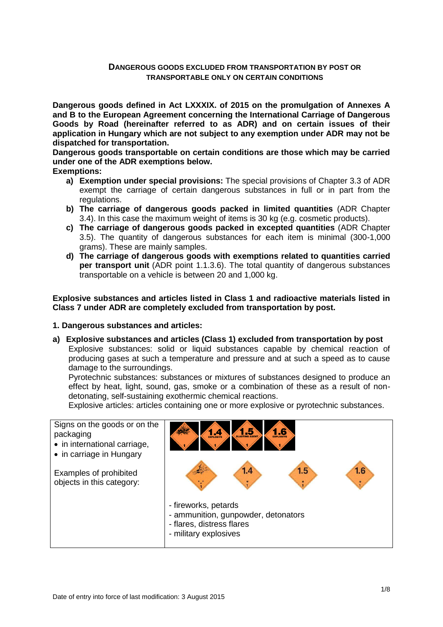### **DANGEROUS GOODS EXCLUDED FROM TRANSPORTATION BY POST OR TRANSPORTABLE ONLY ON CERTAIN CONDITIONS**

**Dangerous goods defined in Act LXXXIX. of 2015 on the promulgation of Annexes A and B to the European Agreement concerning the International Carriage of Dangerous Goods by Road (hereinafter referred to as ADR) and on certain issues of their application in Hungary which are not subject to any exemption under ADR may not be dispatched for transportation.** 

**Dangerous goods transportable on certain conditions are those which may be carried under one of the ADR exemptions below.**

**Exemptions:**

- **a) Exemption under special provisions:** The special provisions of Chapter 3.3 of ADR exempt the carriage of certain dangerous substances in full or in part from the regulations.
- **b) The carriage of dangerous goods packed in limited quantities** (ADR Chapter 3.4). In this case the maximum weight of items is 30 kg (e.g. cosmetic products).
- **c) The carriage of dangerous goods packed in excepted quantities** (ADR Chapter 3.5). The quantity of dangerous substances for each item is minimal (300-1,000 grams). These are mainly samples.
- **d) The carriage of dangerous goods with exemptions related to quantities carried per transport unit** (ADR point 1.1.3.6). The total quantity of dangerous substances transportable on a vehicle is between 20 and 1,000 kg.

**Explosive substances and articles listed in Class 1 and radioactive materials listed in Class 7 under ADR are completely excluded from transportation by post.**

#### **1. Dangerous substances and articles:**

**a) Explosive substances and articles (Class 1) excluded from transportation by post** Explosive substances: solid or liquid substances capable by chemical reaction of producing gases at such a temperature and pressure and at such a speed as to cause damage to the surroundings.

Pyrotechnic substances: substances or mixtures of substances designed to produce an effect by heat, light, sound, gas, smoke or a combination of these as a result of nondetonating, self-sustaining exothermic chemical reactions.

Explosive articles: articles containing one or more explosive or pyrotechnic substances.

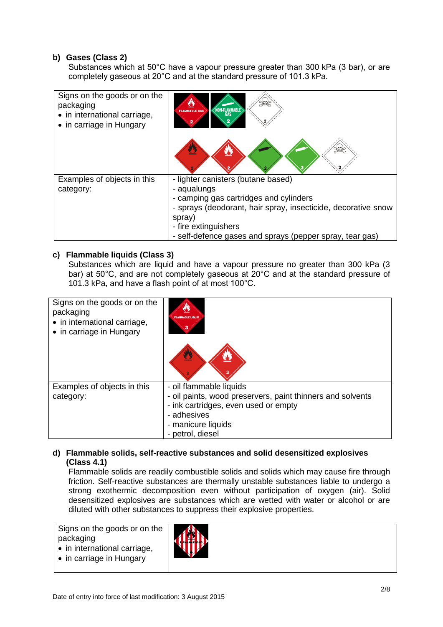### **b) Gases (Class 2)**

Substances which at 50°C have a vapour pressure greater than 300 kPa (3 bar), or are completely gaseous at 20°C and at the standard pressure of 101.3 kPa.

| Signs on the goods or on the<br>packaging<br>• in international carriage,<br>• in carriage in Hungary | $\left\langle \text{NON-FLAMMABLE} \right\rangle$<br><b>FLAMMABLE GAS</b>                               |
|-------------------------------------------------------------------------------------------------------|---------------------------------------------------------------------------------------------------------|
|                                                                                                       | Ø                                                                                                       |
| Examples of objects in this                                                                           | - lighter canisters (butane based)                                                                      |
| category:                                                                                             | - aqualungs                                                                                             |
|                                                                                                       | - camping gas cartridges and cylinders<br>- sprays (deodorant, hair spray, insecticide, decorative snow |
|                                                                                                       | spray)                                                                                                  |
|                                                                                                       |                                                                                                         |
|                                                                                                       |                                                                                                         |
|                                                                                                       | - fire extinguishers<br>- self-defence gases and sprays (pepper spray, tear gas)                        |

### **c) Flammable liquids (Class 3)**

Substances which are liquid and have a vapour pressure no greater than 300 kPa (3 bar) at 50°C, and are not completely gaseous at 20°C and at the standard pressure of 101.3 kPa, and have a flash point of at most 100°C.

| Signs on the goods or on the<br>packaging<br>• in international carriage,<br>• in carriage in Hungary | <b>FLAMMABLE LIQUID</b>                                    |
|-------------------------------------------------------------------------------------------------------|------------------------------------------------------------|
|                                                                                                       | 舂                                                          |
| Examples of objects in this                                                                           | - oil flammable liquids                                    |
| category:                                                                                             | - oil paints, wood preservers, paint thinners and solvents |
|                                                                                                       | - ink cartridges, even used or empty                       |
|                                                                                                       | - adhesives                                                |
|                                                                                                       | - manicure liquids                                         |
|                                                                                                       | - petrol, diesel                                           |

### **d) Flammable solids, self-reactive substances and solid desensitized explosives (Class 4.1)**

Flammable solids are readily combustible solids and solids which may cause fire through friction. Self-reactive substances are thermally unstable substances liable to undergo a strong exothermic decomposition even without participation of oxygen (air). Solid desensitized explosives are substances which are wetted with water or alcohol or are diluted with other substances to suppress their explosive properties.

Signs on the goods or on the packaging • in international carriage,

- in carriage in Hungary
-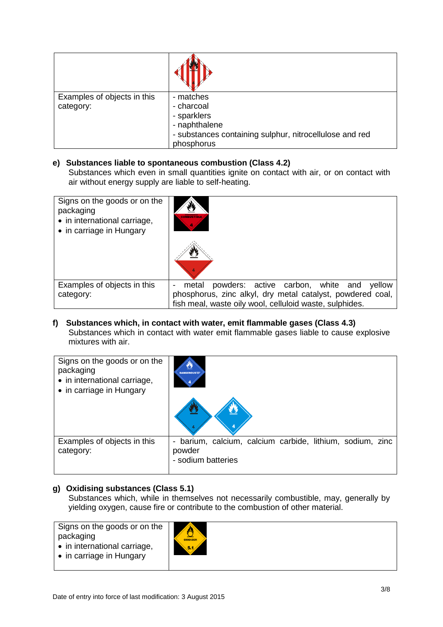| Examples of objects in this<br>category: | - matches<br>- charcoal<br>- sparklers<br>- naphthalene<br>- substances containing sulphur, nitrocellulose and red<br>phosphorus |
|------------------------------------------|----------------------------------------------------------------------------------------------------------------------------------|

### **e) Substances liable to spontaneous combustion (Class 4.2)**

Substances which even in small quantities ignite on contact with air, or on contact with air without energy supply are liable to self-heating.

| Signs on the goods or on the<br>packaging<br>• in international carriage,<br>• in carriage in Hungary | N<br><b>COMBUSTIBLE</b>                                    |  |  |
|-------------------------------------------------------------------------------------------------------|------------------------------------------------------------|--|--|
| Examples of objects in this                                                                           | powders: active carbon, white and<br>yellow<br>metal       |  |  |
|                                                                                                       |                                                            |  |  |
| category:                                                                                             | phosphorus, zinc alkyl, dry metal catalyst, powdered coal, |  |  |
|                                                                                                       | fish meal, waste oily wool, celluloid waste, sulphides.    |  |  |

#### **f) Substances which, in contact with water, emit flammable gases (Class 4.3)** Substances which in contact with water emit flammable gases liable to cause explosive mixtures with air.

| Signs on the goods or on the<br>packaging<br>• in international carriage,<br>• in carriage in Hungary | <b>DANGEROUS</b>                                                                             |
|-------------------------------------------------------------------------------------------------------|----------------------------------------------------------------------------------------------|
| Examples of objects in this<br>category:                                                              | barium, calcium, calcium carbide, lithium, sodium, zinc<br>-<br>powder<br>- sodium batteries |

# **g) Oxidising substances (Class 5.1)**

Substances which, while in themselves not necessarily combustible, may, generally by yielding oxygen, cause fire or contribute to the combustion of other material.

Signs on the goods or on the packaging • in international carriage,

• in carriage in Hungary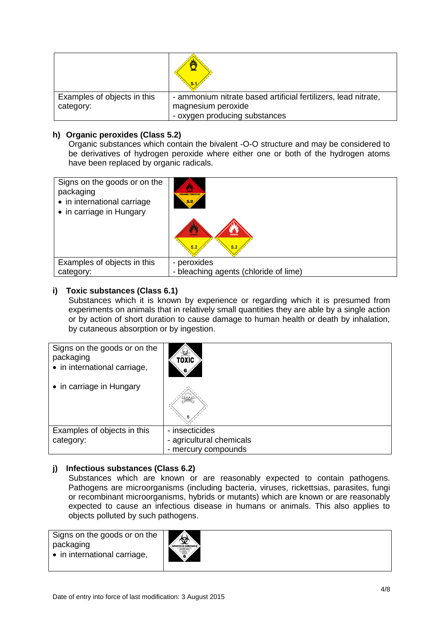|                             | 5.1                                                            |
|-----------------------------|----------------------------------------------------------------|
| Examples of objects in this | - ammonium nitrate based artificial fertilizers, lead nitrate, |
| category:                   | magnesium peroxide                                             |
|                             | - oxygen producing substances                                  |

### **h) Organic peroxides (Class 5.2)**

Organic substances which contain the bivalent -O-O structure and may be considered to be derivatives of hydrogen peroxide where either one or both of the hydrogen atoms have been replaced by organic radicals.

| Signs on the goods or on the | <b>ORGANIC PEROXIDE</b>               |
|------------------------------|---------------------------------------|
| packaging                    | 5.2                                   |
| • in international carriage  | 5.2                                   |
| • in carriage in Hungary     | 5.2                                   |
| Examples of objects in this  | - peroxides                           |
| category:                    | - bleaching agents (chloride of lime) |

### **i) Toxic substances (Class 6.1)**

Substances which it is known by experience or regarding which it is presumed from experiments on animals that in relatively small quantities they are able by a single action or by action of short duration to cause damage to human health or death by inhalation, by cutaneous absorption or by ingestion.

| Signs on the goods or on the<br>packaging<br>• in international carriage, | <b>TOXIC</b>                                                      |
|---------------------------------------------------------------------------|-------------------------------------------------------------------|
| • in carriage in Hungary                                                  |                                                                   |
| Examples of objects in this<br>category:                                  | - insecticides<br>- agricultural chemicals<br>- mercury compounds |

# **j) Infectious substances (Class 6.2)**

Substances which are known or are reasonably expected to contain pathogens. Pathogens are microorganisms (including bacteria, viruses, rickettsias, parasites, fungi or recombinant microorganisms, hybrids or mutants) which are known or are reasonably expected to cause an infectious disease in humans or animals. This also applies to objects polluted by such pathogens.

Signs on the goods or on the packaging • in international carriage,

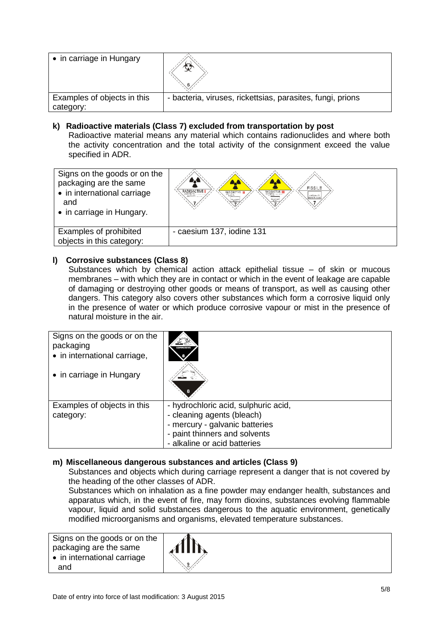| • in carriage in Hungary                 |                                                            |
|------------------------------------------|------------------------------------------------------------|
| Examples of objects in this<br>category: | - bacteria, viruses, rickettsias, parasites, fungi, prions |

#### **k) Radioactive materials (Class 7) excluded from transportation by post**

Radioactive material means any material which contains radionuclides and where both the activity concentration and the total activity of the consignment exceed the value specified in ADR.



# **l) Corrosive substances (Class 8)**

Substances which by chemical action attack epithelial tissue – of skin or mucous membranes – with which they are in contact or which in the event of leakage are capable of damaging or destroying other goods or means of transport, as well as causing other dangers. This category also covers other substances which form a corrosive liquid only in the presence of water or which produce corrosive vapour or mist in the presence of natural moisture in the air.

| Signs on the goods or on the<br>packaging<br>• in international carriage,<br>• in carriage in Hungary |                                                                                                                                                                       |
|-------------------------------------------------------------------------------------------------------|-----------------------------------------------------------------------------------------------------------------------------------------------------------------------|
| Examples of objects in this<br>category:                                                              | - hydrochloric acid, sulphuric acid,<br>- cleaning agents (bleach)<br>- mercury - galvanic batteries<br>- paint thinners and solvents<br>- alkaline or acid batteries |

#### **m) Miscellaneous dangerous substances and articles (Class 9)**

Substances and objects which during carriage represent a danger that is not covered by the heading of the other classes of ADR.

Substances which on inhalation as a fine powder may endanger health, substances and apparatus which, in the event of fire, may form dioxins, substances evolving flammable vapour, liquid and solid substances dangerous to the aquatic environment, genetically modified microorganisms and organisms, elevated temperature substances.

Signs on the goods or on the packaging are the same • in international carriage and

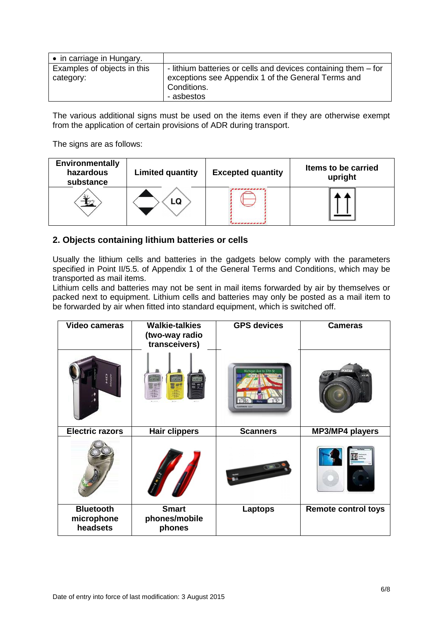| • in carriage in Hungary.                |                                                                                                                                                   |
|------------------------------------------|---------------------------------------------------------------------------------------------------------------------------------------------------|
| Examples of objects in this<br>category: | - lithium batteries or cells and devices containing them - for<br>exceptions see Appendix 1 of the General Terms and<br>Conditions.<br>- asbestos |

The various additional signs must be used on the items even if they are otherwise exempt from the application of certain provisions of ADR during transport.

The signs are as follows:

| <b>Environmentally</b><br>hazardous<br>substance | <b>Limited quantity</b> | <b>Excepted quantity</b> | Items to be carried<br>upright |
|--------------------------------------------------|-------------------------|--------------------------|--------------------------------|
|                                                  |                         |                          |                                |

# **2. Objects containing lithium batteries or cells**

Usually the lithium cells and batteries in the gadgets below comply with the parameters specified in Point II/5.5. of Appendix 1 of the General Terms and Conditions, which may be transported as mail items.

Lithium cells and batteries may not be sent in mail items forwarded by air by themselves or packed next to equipment. Lithium cells and batteries may only be posted as a mail item to be forwarded by air when fitted into standard equipment, which is switched off.

| Video cameras                              | <b>Walkie-talkies</b><br>(two-way radio<br>transceivers) | <b>GPS devices</b> | <b>Cameras</b>             |
|--------------------------------------------|----------------------------------------------------------|--------------------|----------------------------|
|                                            | £203                                                     | <b>GARNING IN</b>  |                            |
| <b>Electric razors</b>                     | <b>Hair clippers</b>                                     | <b>Scanners</b>    | MP3/MP4 players            |
|                                            |                                                          |                    |                            |
| <b>Bluetooth</b><br>microphone<br>headsets | <b>Smart</b><br>phones/mobile<br>phones                  | <b>Laptops</b>     | <b>Remote control toys</b> |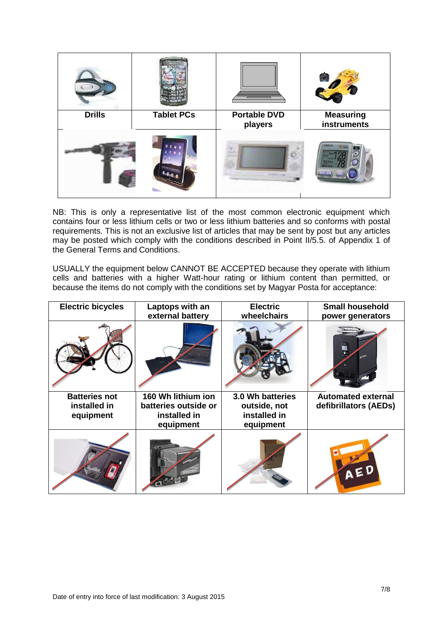

NB: This is only a representative list of the most common electronic equipment which contains four or less lithium cells or two or less lithium batteries and so conforms with postal requirements. This is not an exclusive list of articles that may be sent by post but any articles may be posted which comply with the conditions described in Point II/5.5. of Appendix 1 of the General Terms and Conditions.

USUALLY the equipment below CANNOT BE ACCEPTED because they operate with lithium cells and batteries with a higher Watt-hour rating or lithium content than permitted, or because the items do not comply with the conditions set by Magyar Posta for acceptance:

| <b>Electric bicycles</b>                          | Laptops with an<br>external battery                                     | <b>Electric</b><br>wheelchairs                                | <b>Small household</b><br>power generators         |
|---------------------------------------------------|-------------------------------------------------------------------------|---------------------------------------------------------------|----------------------------------------------------|
|                                                   |                                                                         |                                                               |                                                    |
| <b>Batteries not</b><br>installed in<br>equipment | 160 Wh lithium ion<br>batteries outside or<br>installed in<br>equipment | 3.0 Wh batteries<br>outside, not<br>installed in<br>equipment | <b>Automated external</b><br>defibrillators (AEDs) |
|                                                   |                                                                         |                                                               | AED                                                |